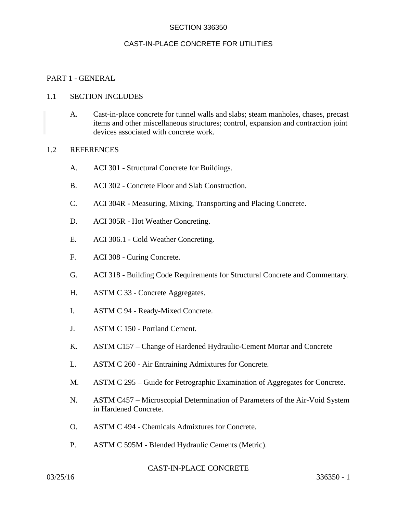# CAST-IN-PLACE CONCRETE FOR UTILITIES

#### PART 1 - GENERAL

#### 1.1 SECTION INCLUDES

A. Cast-in-place concrete for tunnel walls and slabs; steam manholes, chases, precast items and other miscellaneous structures; control, expansion and contraction joint devices associated with concrete work.

#### 1.2 REFERENCES

- A. ACI 301 Structural Concrete for Buildings.
- B. ACI 302 Concrete Floor and Slab Construction.
- C. ACI 304R Measuring, Mixing, Transporting and Placing Concrete.
- D. ACI 305R Hot Weather Concreting.
- E. ACI 306.1 Cold Weather Concreting.
- F. ACI 308 Curing Concrete.
- G. ACI 318 Building Code Requirements for Structural Concrete and Commentary.
- H. ASTM C 33 Concrete Aggregates.
- I. ASTM C 94 Ready-Mixed Concrete.
- J. ASTM C 150 Portland Cement.
- K. ASTM C157 Change of Hardened Hydraulic-Cement Mortar and Concrete
- L. ASTM C 260 Air Entraining Admixtures for Concrete.
- M. ASTM C 295 Guide for Petrographic Examination of Aggregates for Concrete.
- N. ASTM C457 Microscopial Determination of Parameters of the Air-Void System in Hardened Concrete.
- O. ASTM C 494 Chemicals Admixtures for Concrete.
- P. ASTM C 595M Blended Hydraulic Cements (Metric).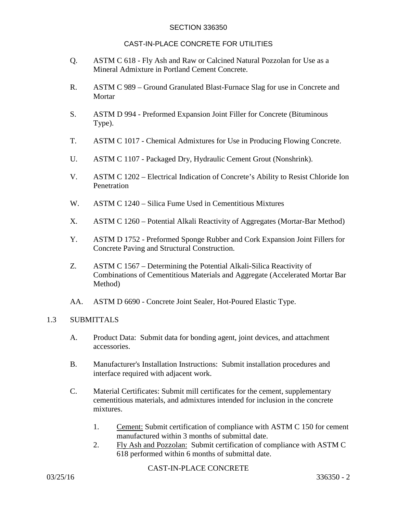## CAST-IN-PLACE CONCRETE FOR UTILITIES

- Q. ASTM C 618 Fly Ash and Raw or Calcined Natural Pozzolan for Use as a Mineral Admixture in Portland Cement Concrete.
- R. ASTM C 989 Ground Granulated Blast-Furnace Slag for use in Concrete and Mortar
- S. ASTM D 994 Preformed Expansion Joint Filler for Concrete (Bituminous Type).
- T. ASTM C 1017 Chemical Admixtures for Use in Producing Flowing Concrete.
- U. ASTM C 1107 Packaged Dry, Hydraulic Cement Grout (Nonshrink).
- V. ASTM C 1202 Electrical Indication of Concrete's Ability to Resist Chloride Ion Penetration
- W. ASTM C 1240 Silica Fume Used in Cementitious Mixtures
- X. ASTM C 1260 Potential Alkali Reactivity of Aggregates (Mortar-Bar Method)
- Y. ASTM D 1752 Preformed Sponge Rubber and Cork Expansion Joint Fillers for Concrete Paving and Structural Construction.
- Z. ASTM C 1567 Determining the Potential Alkali-Silica Reactivity of Combinations of Cementitious Materials and Aggregate (Accelerated Mortar Bar Method)
- AA. ASTM D 6690 Concrete Joint Sealer, Hot-Poured Elastic Type.

## 1.3 SUBMITTALS

- A. Product Data: Submit data for bonding agent, joint devices, and attachment accessories.
- B. Manufacturer's Installation Instructions: Submit installation procedures and interface required with adjacent work.
- C. Material Certificates: Submit mill certificates for the cement, supplementary cementitious materials, and admixtures intended for inclusion in the concrete mixtures.
	- 1. Cement: Submit certification of compliance with ASTM C 150 for cement manufactured within 3 months of submittal date.
	- 2. Fly Ash and Pozzolan: Submit certification of compliance with ASTM C 618 performed within 6 months of submittal date.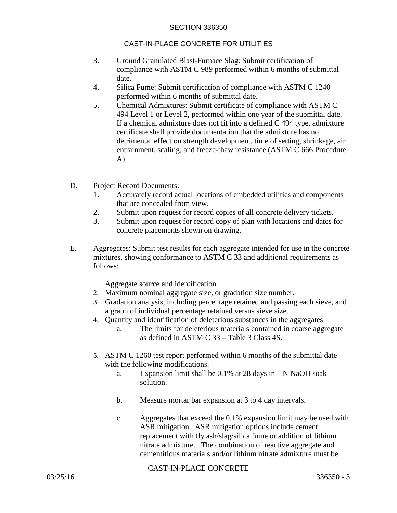# CAST-IN-PLACE CONCRETE FOR UTILITIES

- 3. Ground Granulated Blast-Furnace Slag: Submit certification of compliance with ASTM C 989 performed within 6 months of submittal date.
- 4. Silica Fume: Submit certification of compliance with ASTM C 1240 performed within 6 months of submittal date.
- 5. Chemical Admixtures: Submit certificate of compliance with ASTM C 494 Level 1 or Level 2, performed within one year of the submittal date. If a chemical admixture does not fit into a defined C 494 type, admixture certificate shall provide documentation that the admixture has no detrimental effect on strength development, time of setting, shrinkage, air entrainment, scaling, and freeze-thaw resistance (ASTM C 666 Procedure A).
- D. Project Record Documents:
	- 1. Accurately record actual locations of embedded utilities and components that are concealed from view.
	- 2. Submit upon request for record copies of all concrete delivery tickets.
	- 3. Submit upon request for record copy of plan with locations and dates for concrete placements shown on drawing.
- E. Aggregates: Submit test results for each aggregate intended for use in the concrete mixtures, showing conformance to ASTM C 33 and additional requirements as follows:
	- 1. Aggregate source and identification
	- 2. Maximum nominal aggregate size, or gradation size number.
	- 3. Gradation analysis, including percentage retained and passing each sieve, and a graph of individual percentage retained versus sieve size.
	- 4. Quantity and identification of deleterious substances in the aggregates
		- a. The limits for deleterious materials contained in coarse aggregate as defined in ASTM C 33 – Table 3 Class 4S.
	- 5. ASTM C 1260 test report performed within 6 months of the submittal date with the following modifications.
		- a. Expansion limit shall be 0.1% at 28 days in 1 N NaOH soak solution.
		- b. Measure mortar bar expansion at 3 to 4 day intervals.
		- c. Aggregates that exceed the 0.1% expansion limit may be used with ASR mitigation. ASR mitigation options include cement replacement with fly ash/slag/silica fume or addition of lithium nitrate admixture. The combination of reactive aggregate and cementitious materials and/or lithium nitrate admixture must be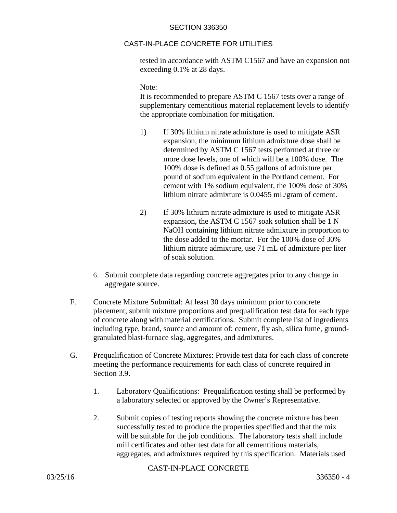# CAST-IN-PLACE CONCRETE FOR UTILITIES

tested in accordance with ASTM C1567 and have an expansion not exceeding 0.1% at 28 days.

Note:

It is recommended to prepare ASTM C 1567 tests over a range of supplementary cementitious material replacement levels to identify the appropriate combination for mitigation.

- 1) If 30% lithium nitrate admixture is used to mitigate ASR expansion, the minimum lithium admixture dose shall be determined by ASTM C 1567 tests performed at three or more dose levels, one of which will be a 100% dose. The 100% dose is defined as 0.55 gallons of admixture per pound of sodium equivalent in the Portland cement. For cement with 1% sodium equivalent, the 100% dose of 30% lithium nitrate admixture is 0.0455 mL/gram of cement.
- 2) If 30% lithium nitrate admixture is used to mitigate ASR expansion, the ASTM C 1567 soak solution shall be 1 N NaOH containing lithium nitrate admixture in proportion to the dose added to the mortar. For the 100% dose of 30% lithium nitrate admixture, use 71 mL of admixture per liter of soak solution.
- 6. Submit complete data regarding concrete aggregates prior to any change in aggregate source.
- F. Concrete Mixture Submittal: At least 30 days minimum prior to concrete placement, submit mixture proportions and prequalification test data for each type of concrete along with material certifications. Submit complete list of ingredients including type, brand, source and amount of: cement, fly ash, silica fume, groundgranulated blast-furnace slag, aggregates, and admixtures.
- G. Prequalification of Concrete Mixtures: Provide test data for each class of concrete meeting the performance requirements for each class of concrete required in Section 3.9.
	- 1. Laboratory Qualifications: Prequalification testing shall be performed by a laboratory selected or approved by the Owner's Representative.
	- 2. Submit copies of testing reports showing the concrete mixture has been successfully tested to produce the properties specified and that the mix will be suitable for the job conditions. The laboratory tests shall include mill certificates and other test data for all cementitious materials, aggregates, and admixtures required by this specification. Materials used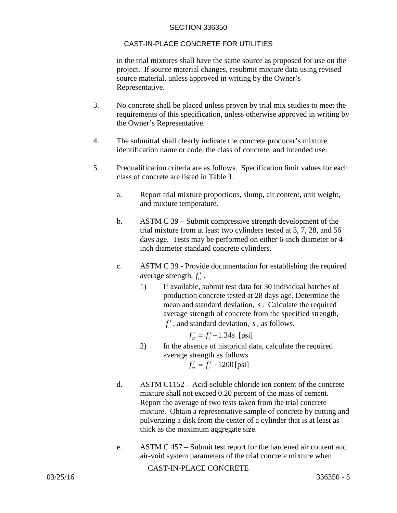# CAST-IN-PLACE CONCRETE FOR UTILITIES

in the trial mixtures shall have the same source as proposed for use on the project. If source material changes, resubmit mixture data using revised source material, unless approved in writing by the Owner's Representative.

- 3. No concrete shall be placed unless proven by trial mix studies to meet the requirements of this specification, unless otherwise approved in writing by the Owner's Representative.
- 4. The submittal shall clearly indicate the concrete producer's mixture identification name or code, the class of concrete, and intended use.
- 5. Prequalification criteria are as follows. Specification limit values for each class of concrete are listed in Table 1.
	- a. Report trial mixture proportions, slump, air content, unit weight, and mixture temperature.
	- b. ASTM C 39 Submit compressive strength development of the trial mixture from at least two cylinders tested at 3, 7, 28, and 56 days age. Tests may be performed on either 6-inch diameter or 4 inch diameter standard concrete cylinders.
	- c. ASTM C 39 Provide documentation for establishing the required average strength,  $f'_{cr}$ .
		- 1) If available, submit test data for 30 individual batches of production concrete tested at 28 days age. Determine the mean and standard deviation, *s*. Calculate the required average strength of concrete from the specified strength,  $f'_s$ , and standard deviation, *s*, as follows.

 $f'_{cr} = f'_{c} + 1.34s$  [psi]

- 2) In the absence of historical data, calculate the required average strength as follows  $f'_{cr} = f'_c + 1200$  [psi]
- d. ASTM C1152 Acid-soluble chloride ion content of the concrete mixture shall not exceed 0.20 percent of the mass of cement. Report the average of two tests taken from the trial concrete mixture. Obtain a representative sample of concrete by cutting and pulverizing a disk from the center of a cylinder that is at least as thick as the maximum aggregate size.
- e. ASTM C 457 Submit test report for the hardened air content and air-void system parameters of the trial concrete mixture when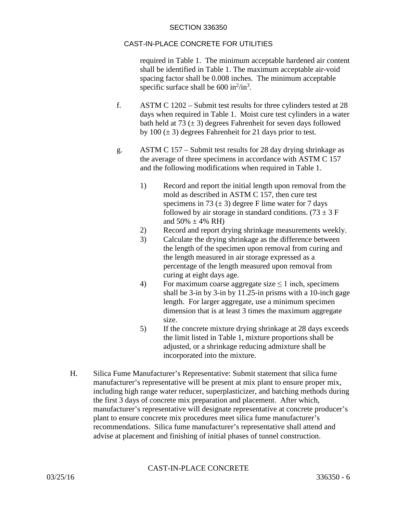# CAST-IN-PLACE CONCRETE FOR UTILITIES

required in Table 1. The minimum acceptable hardened air content shall be identified in Table 1. The maximum acceptable air-void spacing factor shall be 0.008 inches. The minimum acceptable specific surface shall be  $600 \text{ in}^2/\text{in}^3$ .

- f. ASTM C 1202 Submit test results for three cylinders tested at 28 days when required in Table 1. Moist cure test cylinders in a water bath held at 73  $(\pm 3)$  degrees Fahrenheit for seven days followed by 100  $(\pm 3)$  degrees Fahrenheit for 21 days prior to test.
- g. ASTM C 157 Submit test results for 28 day drying shrinkage as the average of three specimens in accordance with ASTM C 157 and the following modifications when required in Table 1.
	- 1) Record and report the initial length upon removal from the mold as described in ASTM C 157, then cure test specimens in 73  $(\pm 3)$  degree F lime water for 7 days followed by air storage in standard conditions. (73  $\pm$  3 F and  $50\% \pm 4\%$  RH)
	- 2) Record and report drying shrinkage measurements weekly.
	- 3) Calculate the drying shrinkage as the difference between the length of the specimen upon removal from curing and the length measured in air storage expressed as a percentage of the length measured upon removal from curing at eight days age.
	- 4) For maximum coarse aggregate size  $\leq 1$  inch, specimens shall be 3-in by 3-in by 11.25-in prisms with a 10-inch gage length. For larger aggregate, use a minimum specimen dimension that is at least 3 times the maximum aggregate size.
	- 5) If the concrete mixture drying shrinkage at 28 days exceeds the limit listed in Table 1, mixture proportions shall be adjusted, or a shrinkage reducing admixture shall be incorporated into the mixture.
- H. Silica Fume Manufacturer's Representative: Submit statement that silica fume manufacturer's representative will be present at mix plant to ensure proper mix, including high range water reducer, superplasticizer, and batching methods during the first 3 days of concrete mix preparation and placement. After which, manufacturer's representative will designate representative at concrete producer's plant to ensure concrete mix procedures meet silica fume manufacturer's recommendations. Silica fume manufacturer's representative shall attend and advise at placement and finishing of initial phases of tunnel construction.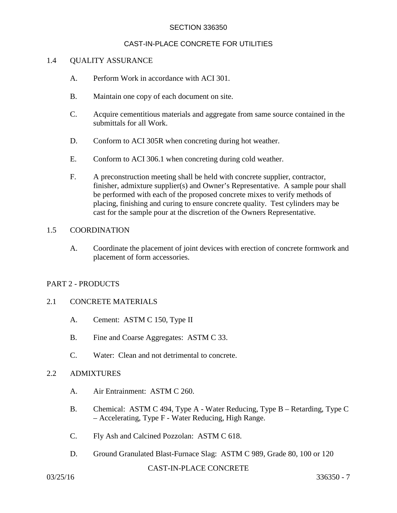# CAST-IN-PLACE CONCRETE FOR UTILITIES

#### 1.4 QUALITY ASSURANCE

- A. Perform Work in accordance with ACI 301.
- B. Maintain one copy of each document on site.
- C. Acquire cementitious materials and aggregate from same source contained in the submittals for all Work.
- D. Conform to ACI 305R when concreting during hot weather.
- E. Conform to ACI 306.1 when concreting during cold weather.
- F. A preconstruction meeting shall be held with concrete supplier, contractor, finisher, admixture supplier(s) and Owner's Representative. A sample pour shall be performed with each of the proposed concrete mixes to verify methods of placing, finishing and curing to ensure concrete quality. Test cylinders may be cast for the sample pour at the discretion of the Owners Representative.

#### 1.5 COORDINATION

A. Coordinate the placement of joint devices with erection of concrete formwork and placement of form accessories.

## PART 2 - PRODUCTS

#### 2.1 CONCRETE MATERIALS

- A. Cement: ASTM C 150, Type II
- B. Fine and Coarse Aggregates: ASTM C 33.
- C. Water: Clean and not detrimental to concrete.

#### 2.2 ADMIXTURES

- A. Air Entrainment: ASTM C 260.
- B. Chemical: ASTM C 494, Type A Water Reducing, Type B Retarding, Type C – Accelerating, Type F - Water Reducing, High Range.
- C. Fly Ash and Calcined Pozzolan: ASTM C 618.
- D. Ground Granulated Blast-Furnace Slag: ASTM C 989, Grade 80, 100 or 120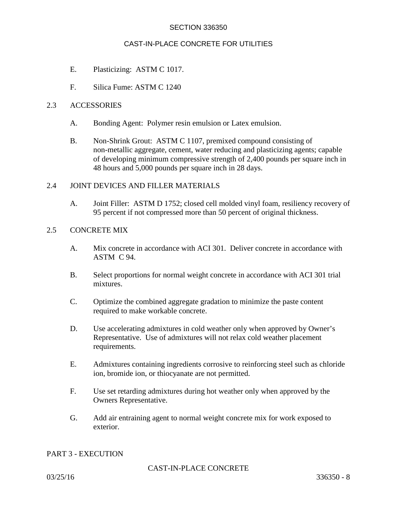## CAST-IN-PLACE CONCRETE FOR UTILITIES

- E. Plasticizing: ASTM C 1017.
- F. Silica Fume: ASTM C 1240

#### 2.3 ACCESSORIES

- A. Bonding Agent: Polymer resin emulsion or Latex emulsion.
- B. Non-Shrink Grout: ASTM C 1107, premixed compound consisting of non-metallic aggregate, cement, water reducing and plasticizing agents; capable of developing minimum compressive strength of 2,400 pounds per square inch in 48 hours and 5,000 pounds per square inch in 28 days.

## 2.4 JOINT DEVICES AND FILLER MATERIALS

A. Joint Filler: ASTM D 1752; closed cell molded vinyl foam, resiliency recovery of 95 percent if not compressed more than 50 percent of original thickness.

# 2.5 CONCRETE MIX

- A. Mix concrete in accordance with ACI 301. Deliver concrete in accordance with ASTM C 94.
- B. Select proportions for normal weight concrete in accordance with ACI 301 trial mixtures.
- C. Optimize the combined aggregate gradation to minimize the paste content required to make workable concrete.
- D. Use accelerating admixtures in cold weather only when approved by Owner's Representative. Use of admixtures will not relax cold weather placement requirements.
- E. Admixtures containing ingredients corrosive to reinforcing steel such as chloride ion, bromide ion, or thiocyanate are not permitted.
- F. Use set retarding admixtures during hot weather only when approved by the Owners Representative.
- G. Add air entraining agent to normal weight concrete mix for work exposed to exterior.

## PART 3 - EXECUTION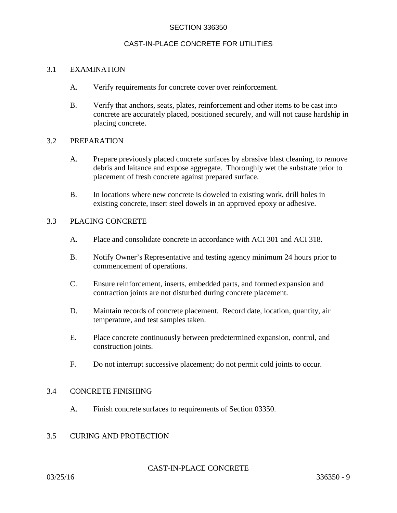#### CAST-IN-PLACE CONCRETE FOR UTILITIES

## 3.1 EXAMINATION

- A. Verify requirements for concrete cover over reinforcement.
- B. Verify that anchors, seats, plates, reinforcement and other items to be cast into concrete are accurately placed, positioned securely, and will not cause hardship in placing concrete.

#### 3.2 PREPARATION

- A. Prepare previously placed concrete surfaces by abrasive blast cleaning, to remove debris and laitance and expose aggregate. Thoroughly wet the substrate prior to placement of fresh concrete against prepared surface.
- B. In locations where new concrete is doweled to existing work, drill holes in existing concrete, insert steel dowels in an approved epoxy or adhesive.

#### 3.3 PLACING CONCRETE

- A. Place and consolidate concrete in accordance with ACI 301 and ACI 318.
- B. Notify Owner's Representative and testing agency minimum 24 hours prior to commencement of operations.
- C. Ensure reinforcement, inserts, embedded parts, and formed expansion and contraction joints are not disturbed during concrete placement.
- D. Maintain records of concrete placement. Record date, location, quantity, air temperature, and test samples taken.
- E. Place concrete continuously between predetermined expansion, control, and construction joints.
- F. Do not interrupt successive placement; do not permit cold joints to occur.

## 3.4 CONCRETE FINISHING

A. Finish concrete surfaces to requirements of Section 03350.

# 3.5 CURING AND PROTECTION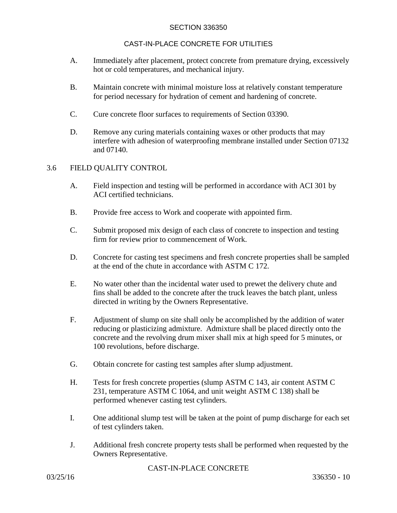# CAST-IN-PLACE CONCRETE FOR UTILITIES

- A. Immediately after placement, protect concrete from premature drying, excessively hot or cold temperatures, and mechanical injury.
- B. Maintain concrete with minimal moisture loss at relatively constant temperature for period necessary for hydration of cement and hardening of concrete.
- C. Cure concrete floor surfaces to requirements of Section 03390.
- D. Remove any curing materials containing waxes or other products that may interfere with adhesion of waterproofing membrane installed under Section 07132 and 07140.

# 3.6 FIELD QUALITY CONTROL

- A. Field inspection and testing will be performed in accordance with ACI 301 by ACI certified technicians.
- B. Provide free access to Work and cooperate with appointed firm.
- C. Submit proposed mix design of each class of concrete to inspection and testing firm for review prior to commencement of Work.
- D. Concrete for casting test specimens and fresh concrete properties shall be sampled at the end of the chute in accordance with ASTM C 172.
- E. No water other than the incidental water used to prewet the delivery chute and fins shall be added to the concrete after the truck leaves the batch plant, unless directed in writing by the Owners Representative.
- F. Adjustment of slump on site shall only be accomplished by the addition of water reducing or plasticizing admixture. Admixture shall be placed directly onto the concrete and the revolving drum mixer shall mix at high speed for 5 minutes, or 100 revolutions, before discharge.
- G. Obtain concrete for casting test samples after slump adjustment.
- H. Tests for fresh concrete properties (slump ASTM C 143, air content ASTM C 231, temperature ASTM C 1064, and unit weight ASTM C 138) shall be performed whenever casting test cylinders.
- I. One additional slump test will be taken at the point of pump discharge for each set of test cylinders taken.
- J. Additional fresh concrete property tests shall be performed when requested by the Owners Representative.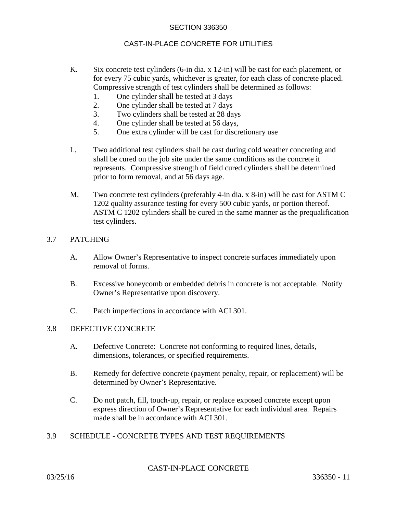# CAST-IN-PLACE CONCRETE FOR UTILITIES

- K. Six concrete test cylinders (6-in dia. x 12-in) will be cast for each placement, or for every 75 cubic yards, whichever is greater, for each class of concrete placed. Compressive strength of test cylinders shall be determined as follows:
	- 1. One cylinder shall be tested at 3 days
	- 2. One cylinder shall be tested at 7 days
	- 3. Two cylinders shall be tested at 28 days
	- 4. One cylinder shall be tested at 56 days,
	- 5. One extra cylinder will be cast for discretionary use
- L. Two additional test cylinders shall be cast during cold weather concreting and shall be cured on the job site under the same conditions as the concrete it represents. Compressive strength of field cured cylinders shall be determined prior to form removal, and at 56 days age.
- M. Two concrete test cylinders (preferably 4-in dia. x 8-in) will be cast for ASTM C 1202 quality assurance testing for every 500 cubic yards, or portion thereof. ASTM C 1202 cylinders shall be cured in the same manner as the prequalification test cylinders.

# 3.7 PATCHING

- A. Allow Owner's Representative to inspect concrete surfaces immediately upon removal of forms.
- B. Excessive honeycomb or embedded debris in concrete is not acceptable. Notify Owner's Representative upon discovery.
- C. Patch imperfections in accordance with ACI 301.

#### 3.8 DEFECTIVE CONCRETE

- A. Defective Concrete: Concrete not conforming to required lines, details, dimensions, tolerances, or specified requirements.
- B. Remedy for defective concrete (payment penalty, repair, or replacement) will be determined by Owner's Representative.
- C. Do not patch, fill, touch-up, repair, or replace exposed concrete except upon express direction of Owner's Representative for each individual area. Repairs made shall be in accordance with ACI 301.
- 3.9 SCHEDULE CONCRETE TYPES AND TEST REQUIREMENTS